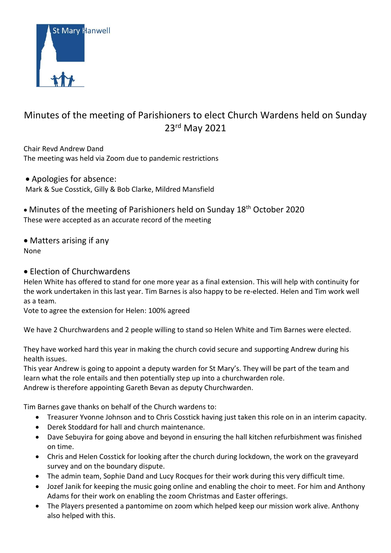

# Minutes of the meeting of Parishioners to elect Church Wardens held on Sunday 23rd May 2021

Chair Revd Andrew Dand The meeting was held via Zoom due to pandemic restrictions

• Apologies for absence: Mark & Sue Cosstick, Gilly & Bob Clarke, Mildred Mansfield

• Minutes of the meeting of Parishioners held on Sunday 18th October 2020 These were accepted as an accurate record of the meeting

• Matters arising if any None

• Election of Churchwardens

Helen White has offered to stand for one more year as a final extension. This will help with continuity for the work undertaken in this last year. Tim Barnes is also happy to be re-elected. Helen and Tim work well as a team.

Vote to agree the extension for Helen: 100% agreed

We have 2 Churchwardens and 2 people willing to stand so Helen White and Tim Barnes were elected.

They have worked hard this year in making the church covid secure and supporting Andrew during his health issues.

This year Andrew is going to appoint a deputy warden for St Mary's. They will be part of the team and learn what the role entails and then potentially step up into a churchwarden role. Andrew is therefore appointing Gareth Bevan as deputy Churchwarden.

Tim Barnes gave thanks on behalf of the Church wardens to:

- Treasurer Yvonne Johnson and to Chris Cosstick having just taken this role on in an interim capacity.
- Derek Stoddard for hall and church maintenance.
- Dave Sebuyira for going above and beyond in ensuring the hall kitchen refurbishment was finished on time.
- Chris and Helen Cosstick for looking after the church during lockdown, the work on the graveyard survey and on the boundary dispute.
- The admin team, Sophie Dand and Lucy Rocques for their work during this very difficult time.
- Jozef Janik for keeping the music going online and enabling the choir to meet. For him and Anthony Adams for their work on enabling the zoom Christmas and Easter offerings.
- The Players presented a pantomime on zoom which helped keep our mission work alive. Anthony also helped with this.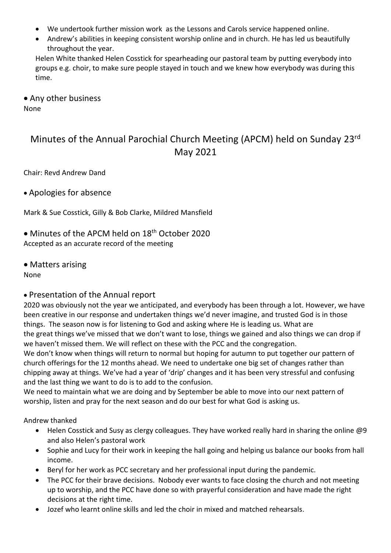- We undertook further mission work as the Lessons and Carols service happened online.
- Andrew's abilities in keeping consistent worship online and in church. He has led us beautifully throughout the year.

Helen White thanked Helen Cosstick for spearheading our pastoral team by putting everybody into groups e.g. choir, to make sure people stayed in touch and we knew how everybody was during this time.

• Any other business

None

# Minutes of the Annual Parochial Church Meeting (APCM) held on Sunday 23rd May 2021

Chair: Revd Andrew Dand

• Apologies for absence

Mark & Sue Cosstick, Gilly & Bob Clarke, Mildred Mansfield

- Minutes of the APCM held on 18<sup>th</sup> October 2020 Accepted as an accurate record of the meeting
- Matters arising

None

# • Presentation of the Annual report

2020 was obviously not the year we anticipated, and everybody has been through a lot. However, we have been creative in our response and undertaken things we'd never imagine, and trusted God is in those things. The season now is for listening to God and asking where He is leading us. What are the great things we've missed that we don't want to lose, things we gained and also things we can drop if we haven't missed them. We will reflect on these with the PCC and the congregation.

We don't know when things will return to normal but hoping for autumn to put together our pattern of church offerings for the 12 months ahead. We need to undertake one big set of changes rather than chipping away at things. We've had a year of 'drip' changes and it has been very stressful and confusing and the last thing we want to do is to add to the confusion.

We need to maintain what we are doing and by September be able to move into our next pattern of worship, listen and pray for the next season and do our best for what God is asking us.

Andrew thanked

- Helen Cosstick and Susy as clergy colleagues. They have worked really hard in sharing the online @9 and also Helen's pastoral work
- Sophie and Lucy for their work in keeping the hall going and helping us balance our books from hall income.
- Beryl for her work as PCC secretary and her professional input during the pandemic.
- The PCC for their brave decisions. Nobody ever wants to face closing the church and not meeting up to worship, and the PCC have done so with prayerful consideration and have made the right decisions at the right time.
- Jozef who learnt online skills and led the choir in mixed and matched rehearsals.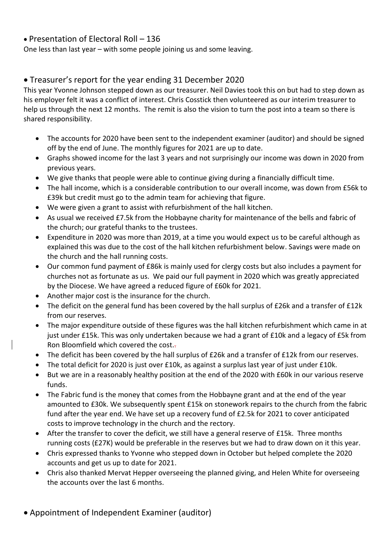## • Presentation of Electoral Roll – 136

One less than last year – with some people joining us and some leaving.

## • Treasurer's report for the year ending 31 December 2020

This year Yvonne Johnson stepped down as our treasurer. Neil Davies took this on but had to step down as his employer felt it was a conflict of interest. Chris Cosstick then volunteered as our interim treasurer to help us through the next 12 months. The remit is also the vision to turn the post into a team so there is shared responsibility.

- The accounts for 2020 have been sent to the independent examiner (auditor) and should be signed off by the end of June. The monthly figures for 2021 are up to date.
- Graphs showed income for the last 3 years and not surprisingly our income was down in 2020 from previous years.
- We give thanks that people were able to continue giving during a financially difficult time.
- The hall income, which is a considerable contribution to our overall income, was down from £56k to £39k but credit must go to the admin team for achieving that figure.
- We were given a grant to assist with refurbishment of the hall kitchen.
- As usual we received £7.5k from the Hobbayne charity for maintenance of the bells and fabric of the church; our grateful thanks to the trustees.
- Expenditure in 2020 was more than 2019, at a time you would expect us to be careful although as explained this was due to the cost of the hall kitchen refurbishment below. Savings were made on the church and the hall running costs.
- Our common fund payment of £86k is mainly used for clergy costs but also includes a payment for churches not as fortunate as us. We paid our full payment in 2020 which was greatly appreciated by the Diocese. We have agreed a reduced figure of £60k for 2021.
- Another major cost is the insurance for the church.
- The deficit on the general fund has been covered by the hall surplus of £26k and a transfer of £12k from our reserves.
- The major expenditure outside of these figures was the hall kitchen refurbishment which came in at just under £15k. This was only undertaken because we had a grant of £10k and a legacy of £5k from Ron Bloomfield which covered the cost..
- The deficit has been covered by the hall surplus of £26k and a transfer of £12k from our reserves.
- The total deficit for 2020 is just over £10k, as against a surplus last year of just under £10k.
- But we are in a reasonably healthy position at the end of the 2020 with £60k in our various reserve funds.
- The Fabric fund is the money that comes from the Hobbayne grant and at the end of the year amounted to £30k. We subsequently spent £15k on stonework repairs to the church from the fabric fund after the year end. We have set up a recovery fund of £2.5k for 2021 to cover anticipated costs to improve technology in the church and the rectory.
- After the transfer to cover the deficit, we still have a general reserve of £15k. Three months running costs (£27K) would be preferable in the reserves but we had to draw down on it this year.
- Chris expressed thanks to Yvonne who stepped down in October but helped complete the 2020 accounts and get us up to date for 2021.
- Chris also thanked Mervat Hepper overseeing the planned giving, and Helen White for overseeing the accounts over the last 6 months.
- Appointment of Independent Examiner (auditor)